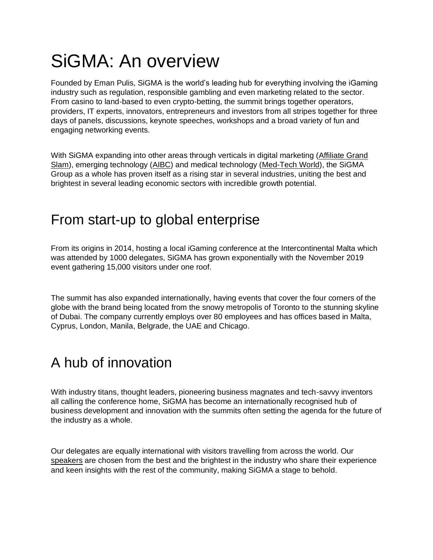## SiGMA: An overview

Founded by Eman Pulis, SiGMA is the world's leading hub for everything involving the iGaming industry such as regulation, responsible gambling and even marketing related to the sector. From casino to land-based to even crypto-betting, the summit brings together operators, providers, IT experts, innovators, entrepreneurs and investors from all stripes together for three days of panels, discussions, keynote speeches, workshops and a broad variety of fun and engaging networking events.

With SiGMA expanding into other areas through verticals in digital marketing [\(Affiliate Grand](https://affiliategrandslam.com/)  [Slam\)](https://affiliategrandslam.com/), emerging technology [\(AIBC\)](https://aibc.world/) and medical technology [\(Med-Tech World\)](https://med-tech.world/), the SiGMA Group as a whole has proven itself as a rising star in several industries, uniting the best and brightest in several leading economic sectors with incredible growth potential.

## From start-up to global enterprise

From its origins in 2014, hosting a local iGaming conference at the Intercontinental Malta which was attended by 1000 delegates, SiGMA has grown exponentially with the November 2019 event gathering 15,000 visitors under one roof.

The summit has also expanded internationally, having events that cover the four corners of the globe with the brand being located from the snowy metropolis of Toronto to the stunning skyline of Dubai. The company currently employs over 80 employees and has offices based in Malta, Cyprus, London, Manila, Belgrade, the UAE and Chicago.

## A hub of innovation

With industry titans, thought leaders, pioneering business magnates and tech-savvy inventors all calling the conference home, SiGMA has become an internationally recognised hub of business development and innovation with the summits often setting the agenda for the future of the industry as a whole.

Our delegates are equally international with visitors travelling from across the world. Our [speakers](https://sigma.world/europe/speakers/) are chosen from the best and the brightest in the industry who share their experience and keen insights with the rest of the community, making SiGMA a stage to behold.